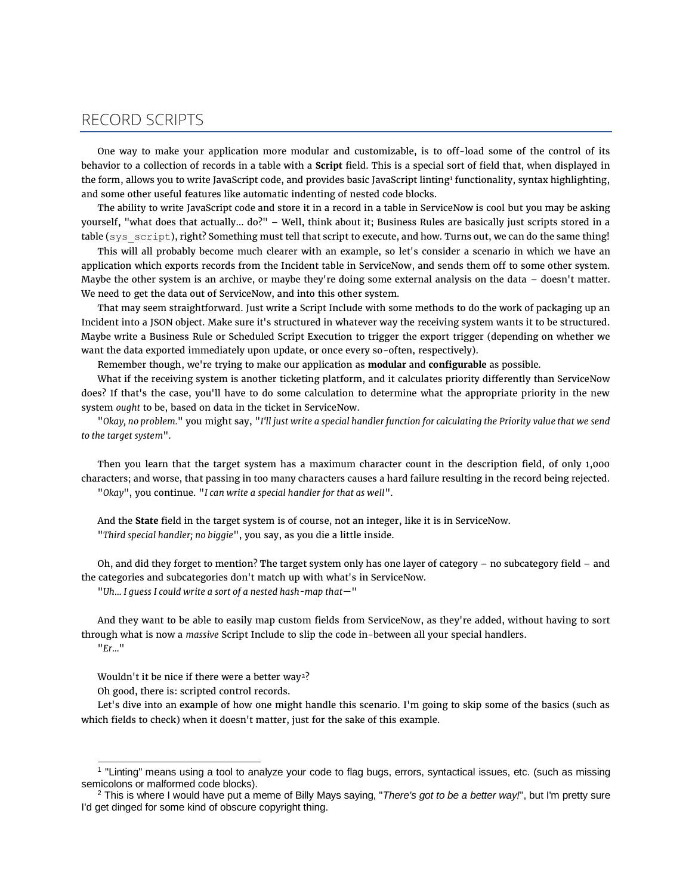## RECORD SCRIPTS

One way to make your application more modular and customizable, is to off-load some of the control of its behavior to a collection of records in a table with a **Script** field. This is a special sort of field that, when displayed in the form, allows you to write JavaScript code, and provides basic JavaScript linting<sup>1</sup> functionality, syntax highlighting, and some other useful features like automatic indenting of nested code blocks.

The ability to write JavaScript code and store it in a record in a table in ServiceNow is cool but you may be asking yourself, "what does that actually… do?" – Well, think about it; Business Rules are basically just scripts stored in a table (sys script), right? Something must tell that script to execute, and how. Turns out, we can do the same thing!

This will all probably become much clearer with an example, so let's consider a scenario in which we have an application which exports records from the Incident table in ServiceNow, and sends them off to some other system. Maybe the other system is an archive, or maybe they're doing some external analysis on the data – doesn't matter. We need to get the data out of ServiceNow, and into this other system.

That may seem straightforward. Just write a Script Include with some methods to do the work of packaging up an Incident into a JSON object. Make sure it's structured in whatever way the receiving system wants it to be structured. Maybe write a Business Rule or Scheduled Script Execution to trigger the export trigger (depending on whether we want the data exported immediately upon update, or once every so-often, respectively).

Remember though, we're trying to make our application as **modular** and **configurable** as possible.

What if the receiving system is another ticketing platform, and it calculates priority differently than ServiceNow does? If that's the case, you'll have to do some calculation to determine what the appropriate priority in the new system *ought* to be, based on data in the ticket in ServiceNow.

"*Okay, no problem.*" you might say, "*I'll just write a special handler function for calculating the Priority value that we send to the target system*".

Then you learn that the target system has a maximum character count in the description field, of only 1,000 characters; and worse, that passing in too many characters causes a hard failure resulting in the record being rejected. "*Okay*", you continue. "*I can write a special handler for that as well*".

And the **State** field in the target system is of course, not an integer, like it is in ServiceNow. "*Third special handler; no biggie*", you say, as you die a little inside.

Oh, and did they forget to mention? The target system only has one layer of category – no subcategory field – and the categories and subcategories don't match up with what's in ServiceNow.

"*Uh… I guess I could write a sort of a nested hash-map that—*"

And they want to be able to easily map custom fields from ServiceNow, as they're added, without having to sort through what is now a *massive* Script Include to slip the code in-between all your special handlers. "*Er…*"

Wouldn't it be nice if there were a better way<sup>2</sup>?

Oh good, there is: scripted control records.

Let's dive into an example of how one might handle this scenario. I'm going to skip some of the basics (such as which fields to check) when it doesn't matter, just for the sake of this example.

<sup>1</sup> "Linting" means using a tool to analyze your code to flag bugs, errors, syntactical issues, etc. (such as missing semicolons or malformed code blocks).

<sup>2</sup> This is where I would have put a meme of Billy Mays saying, "*There's got to be a better way!*", but I'm pretty sure I'd get dinged for some kind of obscure copyright thing.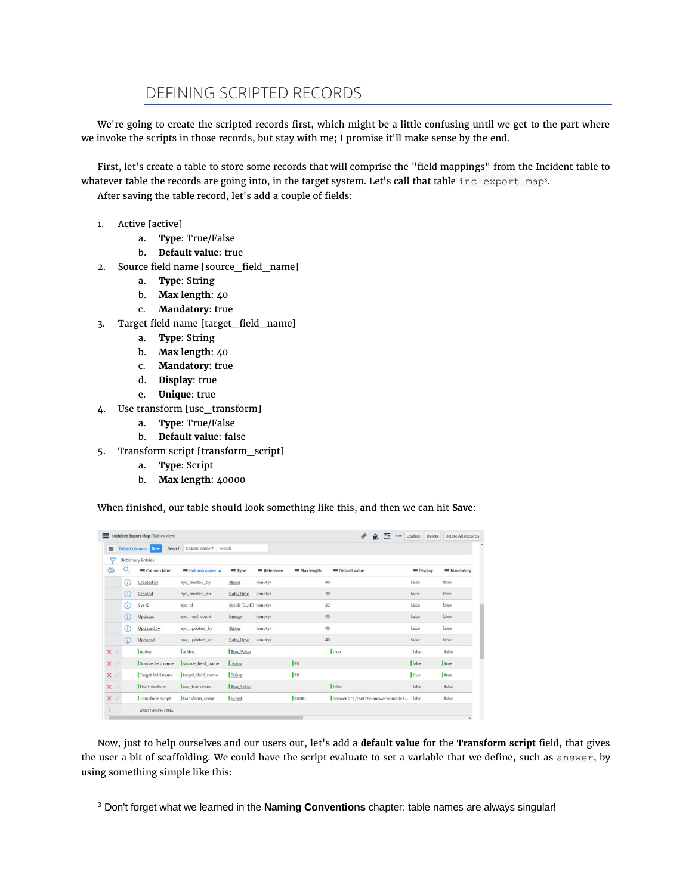## DEFINING SCRIPTED RECORDS

We're going to create the scripted records first, which might be a little confusing until we get to the part where we invoke the scripts in those records, but stay with me; I promise it'll make sense by the end.

First, let's create a table to store some records that will comprise the "field mappings" from the Incident table to whatever table the records are going into, in the target system. Let's call that table inc export map<sup>3</sup>. After saving the table record, let's add a couple of fields:

- 1. Active [active]
	- a. **Type**: True/False
	- b. **Default value**: true
- 2. Source field name [source\_field\_name]
	- a. **Type**: String
	- b. **Max length**: 40
	- c. **Mandatory**: true
- 3. Target field name [target\_field\_name]
	- a. **Type**: String
	- b. **Max length**: 40
	- c. **Mandatory**: true
	- d. **Display**: true
	- e. **Unique**: true
- 4. Use transform [use\_transform]
	- a. **Type**: True/False
	- b. **Default value**: false
- 5. Transform script [transform\_script]
	- a. **Type**: Script
	- b. **Max length**: 40000

When finished, our table should look something like this, and then we can hit **Save**:

| $\equiv$   |            | <b>Table Columns</b> New<br>Search | Column name $\nabla$<br>Search |                       |                    |                     |                                         |                  |             |
|------------|------------|------------------------------------|--------------------------------|-----------------------|--------------------|---------------------|-----------------------------------------|------------------|-------------|
| ₩          |            | <b>Dictionary Entries</b>          |                                |                       |                    |                     |                                         |                  |             |
| $20 - 10$  |            | E Column label                     | Column name A                  | $\equiv$ Type         | <b>E</b> Reference | $\equiv$ Max length | <b>E</b> Default value                  | $\equiv$ Display | = Mandatory |
|            | G)         | Created by                         | sys_created_by                 | <b>String</b>         | (empty)            |                     | 40                                      | false            | false       |
|            | $\circ$    | Created                            | sys_created_on                 | Date/Time             | (empty)            |                     | 40                                      | false            | false       |
|            | $\circ$    | Sys ID                             | sys_id                         | Sys ID (GUID) (empty) |                    |                     | 32                                      | false            | false       |
|            | $\circ$    | Updates                            | sys mod count                  | Integer               | (empty)            |                     | 40                                      | false            | false       |
|            | G)         | <b>Updated by</b>                  | sys_updated_by                 | <b>String</b>         | (empty)            |                     | 40                                      | false            | false       |
|            | $\bigcirc$ | Updated                            | sys_updated_on                 | Date/Time             | (empty)            |                     | 40                                      | false.           | false       |
| $\times$ / |            | Active                             | active                         | True/False            |                    |                     | true                                    | false            | false       |
| $\times$ / |            | Source field name                  | source field name              | String                |                    | $ 40\rangle$        |                                         | false            | true        |
| $\times$ / |            | Target field name                  | target field name              | <b>String</b>         |                    | 140                 |                                         | true             | true        |
| $\times$ / |            | Use transform                      | use transform                  | True/False            |                    |                     | <b>false</b>                            | false            | false       |
| $\times$ / |            | Transform script                   | transform_script               | Script                |                    | 40000               | answer = "; //Set the answer variable t | false            | false       |

Now, just to help ourselves and our users out, let's add a **default value** for the **Transform script** field, that gives the user a bit of scaffolding. We could have the script evaluate to set a variable that we define, such as answer, by using something simple like this:

<sup>3</sup> Don't forget what we learned in the **Naming Conventions** chapter: table names are always singular!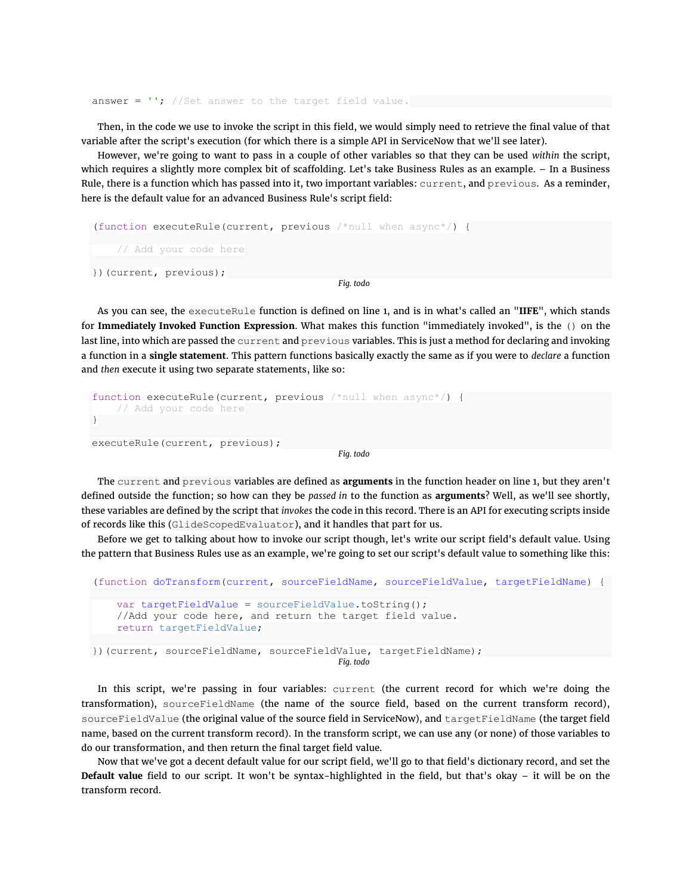answer =  $'$ ; //Set answer to the target field value.

Then, in the code we use to invoke the script in this field, we would simply need to retrieve the final value of that variable after the script's execution (for which there is a simple API in ServiceNow that we'll see later).

However, we're going to want to pass in a couple of other variables so that they can be used *within* the script, which requires a slightly more complex bit of scaffolding. Let's take Business Rules as an example. – In a Business Rule, there is a function which has passed into it, two important variables: current, and previous. As a reminder, here is the default value for an advanced Business Rule's script field:

```
(function executeRule(current, previous \frac{1}{2} when async<sup>*</sup>/) {
      // Add your code here
})(current, previous);
                                                 Fig. todo
```
As you can see, the executeRule function is defined on line 1, and is in what's called an "**IIFE**", which stands for **Immediately Invoked Function Expression**. What makes this function "immediately invoked", is the () on the last line, into which are passed the current and previous variables. This is just a method for declaring and invoking a function in a **single statement**. This pattern functions basically exactly the same as if you were to *declare* a function and *then* execute it using two separate statements, like so:

```
function executeRule(current, previous /*null when async*/) {
     // Add your code here
}
executeRule(current, previous);
                                           Fig. todo
```
The current and previous variables are defined as **arguments** in the function header on line 1, but they aren't defined outside the function; so how can they be *passed in* to the function as **arguments**? Well, as we'll see shortly, these variables are defined by the script that *invokes* the code in this record. There is an API for executing scripts inside of records like this (GlideScopedEvaluator), and it handles that part for us.

Before we get to talking about how to invoke our script though, let's write our script field's default value. Using the pattern that Business Rules use as an example, we're going to set our script's default value to something like this:

```
(function doTransform(current, sourceFieldName, sourceFieldValue, targetFieldName) {
    var targetFieldValue = sourceFieldValue.toString();
     //Add your code here, and return the target field value.
     return targetFieldValue;
})(current, sourceFieldName, sourceFieldValue, targetFieldName);
                                         Fig. todo
```
In this script, we're passing in four variables: current (the current record for which we're doing the transformation), sourceFieldName (the name of the source field, based on the current transform record), sourceFieldValue (the original value of the source field in ServiceNow), and targetFieldName (the target field name, based on the current transform record). In the transform script, we can use any (or none) of those variables to do our transformation, and then return the final target field value.

Now that we've got a decent default value for our script field, we'll go to that field's dictionary record, and set the **Default value** field to our script. It won't be syntax-highlighted in the field, but that's okay – it will be on the transform record.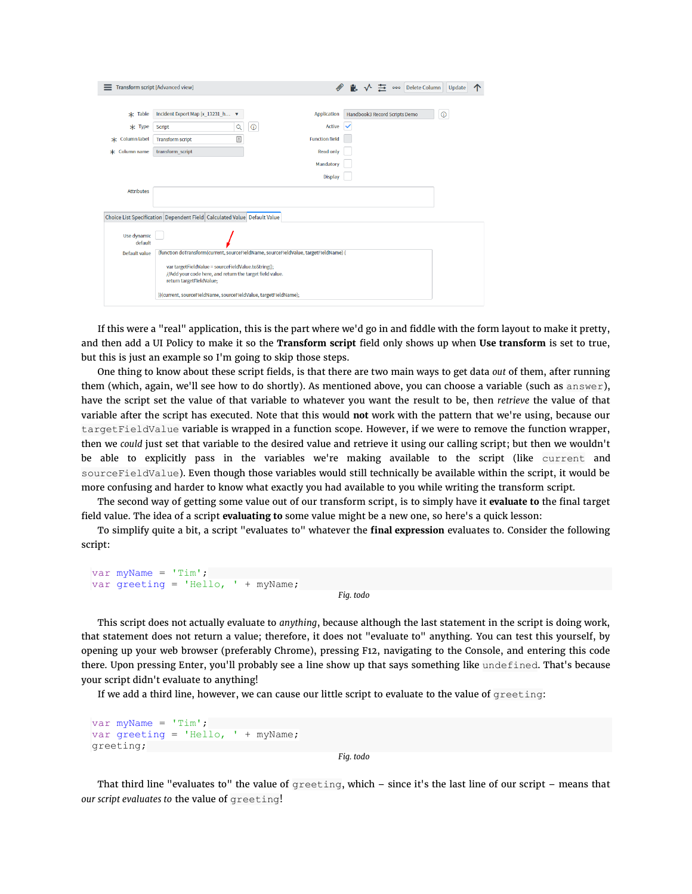|                                                                          | Transform script [Advanced view]                                                     |                        | Delete Column<br>000          | Update  |  |  |  |  |  |  |  |
|--------------------------------------------------------------------------|--------------------------------------------------------------------------------------|------------------------|-------------------------------|---------|--|--|--|--|--|--|--|
|                                                                          |                                                                                      |                        |                               |         |  |  |  |  |  |  |  |
| $\star$ Table                                                            | Incident Export Map [x_13231_h ▼                                                     | <b>Application</b>     | Handbook3 Record Scripts Demo | $\odot$ |  |  |  |  |  |  |  |
| $*$ Type                                                                 | Q<br>Script                                                                          | Active<br>$^\circledR$ |                               |         |  |  |  |  |  |  |  |
| * Column label                                                           | $\boxed{\stackrel{\scriptscriptstyle \pm}{=}}$<br><b>Transform script</b>            | <b>Function field</b>  |                               |         |  |  |  |  |  |  |  |
| * Column name                                                            | transform script                                                                     | <b>Read only</b>       |                               |         |  |  |  |  |  |  |  |
|                                                                          |                                                                                      | Mandatory              |                               |         |  |  |  |  |  |  |  |
|                                                                          |                                                                                      | <b>Display</b>         |                               |         |  |  |  |  |  |  |  |
| <b>Attributes</b>                                                        |                                                                                      |                        |                               |         |  |  |  |  |  |  |  |
|                                                                          |                                                                                      |                        |                               |         |  |  |  |  |  |  |  |
| Choice List Specification Dependent Field Calculated Value Default Value |                                                                                      |                        |                               |         |  |  |  |  |  |  |  |
| Use dynamic<br>default                                                   |                                                                                      |                        |                               |         |  |  |  |  |  |  |  |
| Default value                                                            | (function doTransform(current, sourceFieldName, sourceFieldValue, targetFieldName) { |                        |                               |         |  |  |  |  |  |  |  |
|                                                                          |                                                                                      |                        |                               |         |  |  |  |  |  |  |  |
|                                                                          |                                                                                      |                        |                               |         |  |  |  |  |  |  |  |
|                                                                          | return targetFieldValue;                                                             |                        |                               |         |  |  |  |  |  |  |  |
| })(current, sourceFieldName, sourceFieldValue, targetFieldName);         |                                                                                      |                        |                               |         |  |  |  |  |  |  |  |

If this were a "real" application, this is the part where we'd go in and fiddle with the form layout to make it pretty, and then add a UI Policy to make it so the **Transform script** field only shows up when **Use transform** is set to true, but this is just an example so I'm going to skip those steps.

One thing to know about these script fields, is that there are two main ways to get data *out* of them, after running them (which, again, we'll see how to do shortly). As mentioned above, you can choose a variable (such as answer), have the script set the value of that variable to whatever you want the result to be, then *retrieve* the value of that variable after the script has executed. Note that this would **not** work with the pattern that we're using, because our targetFieldValue variable is wrapped in a function scope. However, if we were to remove the function wrapper, then we *could* just set that variable to the desired value and retrieve it using our calling script; but then we wouldn't be able to explicitly pass in the variables we're making available to the script (like current and sourceFieldValue). Even though those variables would still technically be available within the script, it would be more confusing and harder to know what exactly you had available to you while writing the transform script.

The second way of getting some value out of our transform script, is to simply have it **evaluate to** the final target field value. The idea of a script **evaluating to** some value might be a new one, so here's a quick lesson:

To simplify quite a bit, a script "evaluates to" whatever the **final expression** evaluates to. Consider the following script:

```
var myName = 'Tim';
var greeting = 'Hello, ' + myName;
                                            Fig. todo
```
This script does not actually evaluate to *anything*, because although the last statement in the script is doing work, that statement does not return a value; therefore, it does not "evaluate to" anything. You can test this yourself, by opening up your web browser (preferably Chrome), pressing F12, navigating to the Console, and entering this code there. Upon pressing Enter, you'll probably see a line show up that says something like undefined. That's because your script didn't evaluate to anything!

If we add a third line, however, we can cause our little script to evaluate to the value of greeting:

```
var myName = 'Tim';
var greeting = 'Hello, ' + myName;
greeting;
```
*Fig. todo*

That third line "evaluates to" the value of  $\alpha$  reeting, which – since it's the last line of our script – means that *our script evaluates to* the value of greeting!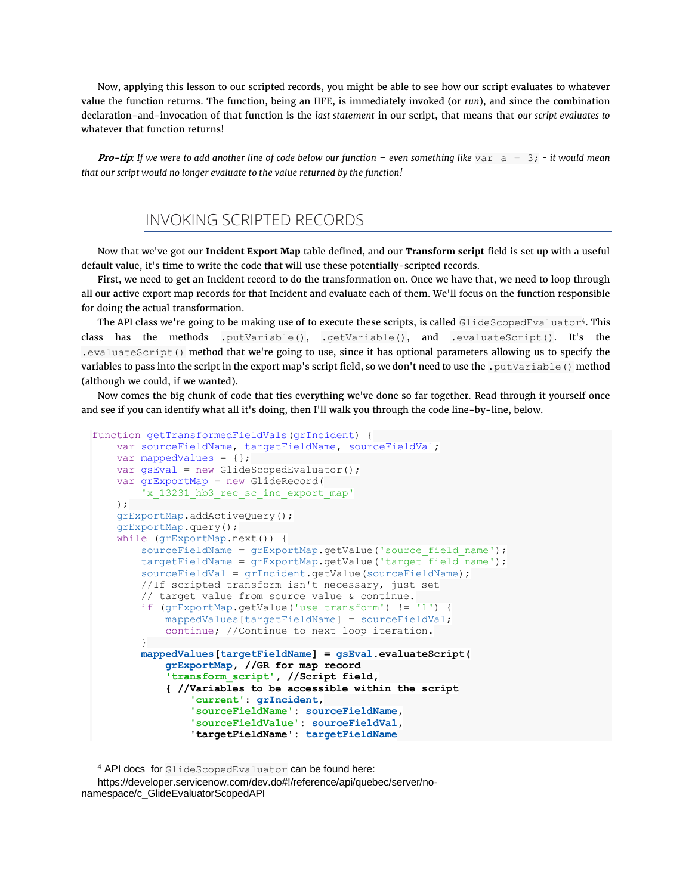Now, applying this lesson to our scripted records, you might be able to see how our script evaluates to whatever value the function returns. The function, being an IIFE, is immediately invoked (or *run*), and since the combination declaration-and-invocation of that function is the *last statement* in our script, that means that *our script evaluates to* whatever that function returns!

*Pro-tip*: If we were to add another line of code below our function – even something like  $\text{var } a = 3$ ; - it would mean *that our script would no longer evaluate to the value returned by the function!*

## INVOKING SCRIPTED RECORDS

Now that we've got our **Incident Export Map** table defined, and our **Transform script** field is set up with a useful default value, it's time to write the code that will use these potentially-scripted records.

First, we need to get an Incident record to do the transformation on. Once we have that, we need to loop through all our active export map records for that Incident and evaluate each of them. We'll focus on the function responsible for doing the actual transformation.

The API class we're going to be making use of to execute these scripts, is called GlideScopedEvaluator<sup>4</sup>. This class has the methods .putVariable(), .getVariable(), and .evaluateScript(). It's the .evaluateScript() method that we're going to use, since it has optional parameters allowing us to specify the variables to pass into the script in the export map's script field, so we don't need to use the .putVariable() method (although we could, if we wanted).

Now comes the big chunk of code that ties everything we've done so far together. Read through it yourself once and see if you can identify what all it's doing, then I'll walk you through the code line-by-line, below.

```
function getTransformedFieldVals(grIncident) {
     var sourceFieldName, targetFieldName, sourceFieldVal;
     var mappedValues = {};
     var gsEval = new GlideScopedEvaluator();
     var grExportMap = new GlideRecord(
        'x 13231 hb3 rec sc inc export map'
    );
    grExportMap.addActiveQuery();
     grExportMap.query();
     while (grExportMap.next()) {
        sourceFieldName = grExportMap.getValue('source field name');
        targetFieldName = grExportMap.getValue('target field name');
        sourceFieldVal = grIncident.getValue(sourceFieldName);
         //If scripted transform isn't necessary, just set
         // target value from source value & continue.
         if (grExportMap.getValue('use_transform') != '1') {
             mappedValues[targetFieldName] = sourceFieldVal;
             continue; //Continue to next loop iteration.
 }
         mappedValues[targetFieldName] = gsEval.evaluateScript(
             grExportMap, //GR for map record
             'transform_script', //Script field,
             { //Variables to be accessible within the script
                 'current': grIncident,
                 'sourceFieldName': sourceFieldName,
                 'sourceFieldValue': sourceFieldVal,
                 'targetFieldName': targetFieldName
```
<sup>4</sup> API docs for GlideScopedEvaluator can be found here:

https://developer.servicenow.com/dev.do#!/reference/api/quebec/server/nonamespace/c\_GlideEvaluatorScopedAPI